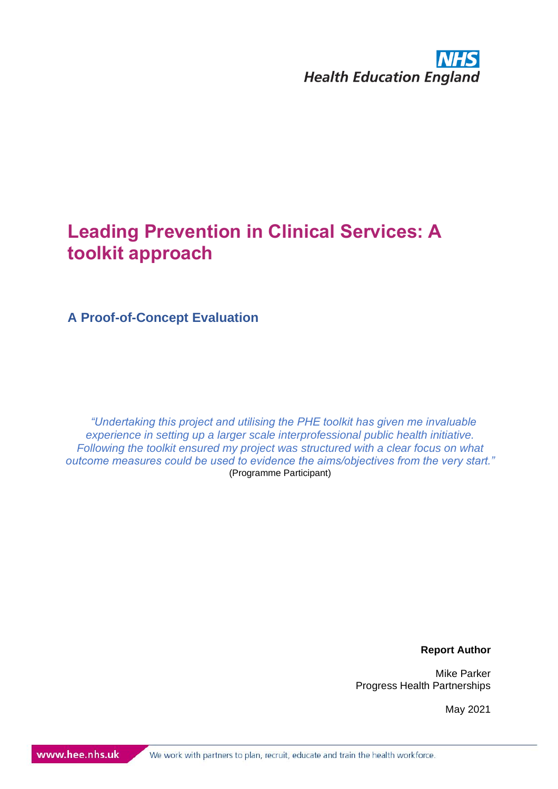

**A Proof-of-Concept Evaluation**

*"Undertaking this project and utilising the PHE toolkit has given me invaluable experience in setting up a larger scale interprofessional public health initiative. Following the toolkit ensured my project was structured with a clear focus on what outcome measures could be used to evidence the aims/objectives from the very start."* (Programme Participant)

**Report Author**

Mike Parker Progress Health Partnerships

May 2021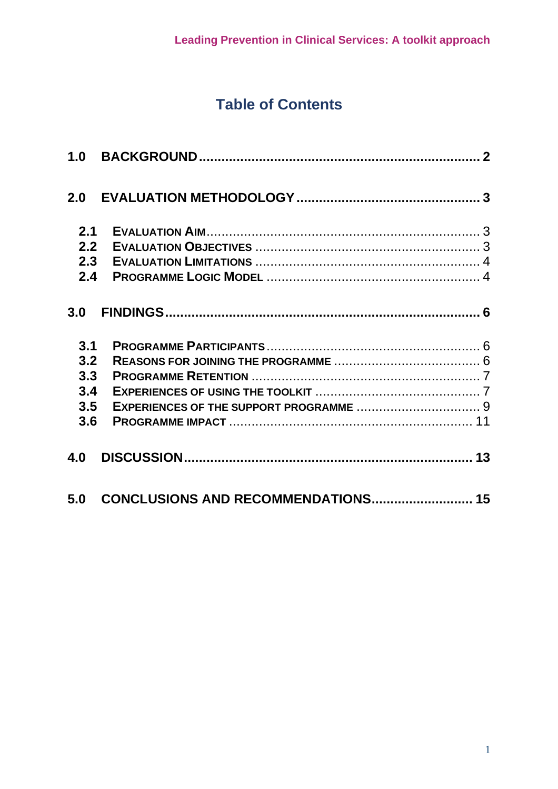# **Table of Contents**

<span id="page-1-0"></span>

| 2.1 |                                           |  |
|-----|-------------------------------------------|--|
| 2.2 |                                           |  |
| 2.3 |                                           |  |
| 2.4 |                                           |  |
| 3.0 |                                           |  |
| 3.1 |                                           |  |
| 3.2 |                                           |  |
| 3.3 |                                           |  |
| 3.4 |                                           |  |
| 3.5 |                                           |  |
| 3.6 |                                           |  |
| 4.0 |                                           |  |
| 5.0 | <b>CONCLUSIONS AND RECOMMENDATIONS 15</b> |  |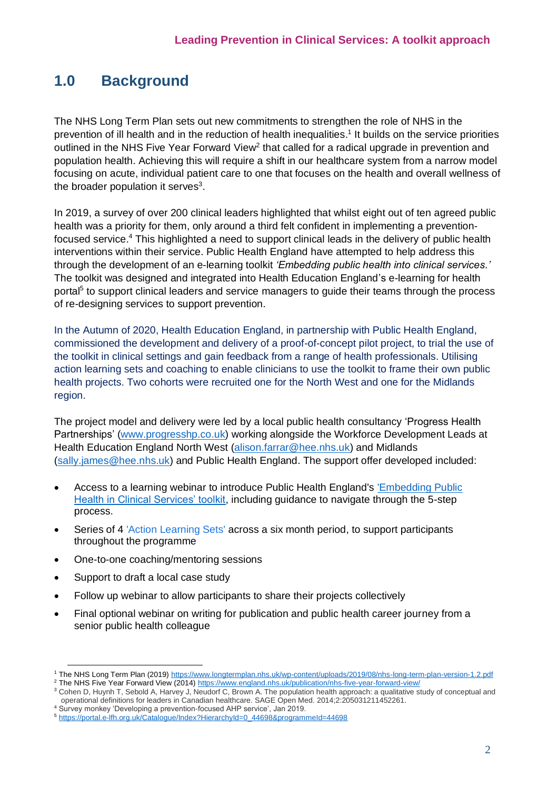## **1.0 Background**

The NHS Long Term Plan sets out new commitments to strengthen the role of NHS in the prevention of ill health and in the reduction of health inequalities. 1 It builds on the service priorities outlined in the NHS Five Year Forward View<sup>2</sup> that called for a radical upgrade in prevention and population health. Achieving this will require a shift in our healthcare system from a narrow model focusing on acute, individual patient care to one that focuses on the health and overall wellness of the broader population it serves<sup>3</sup>.

In 2019, a survey of over 200 clinical leaders highlighted that whilst eight out of ten agreed public health was a priority for them, only around a third felt confident in implementing a preventionfocused service.<sup>4</sup> This highlighted a need to support clinical leads in the delivery of public health interventions within their service. Public Health England have attempted to help address this through the development of an e-learning toolkit *'Embedding public health into clinical services.'* The toolkit was designed and integrated into Health Education England's e-learning for health portal<sup>5</sup> to support clinical leaders and service managers to guide their teams through the process of re-designing services to support prevention.

In the Autumn of 2020, Health Education England, in partnership with Public Health England, commissioned the development and delivery of a proof-of-concept pilot project, to trial the use of the toolkit in clinical settings and gain feedback from a range of health professionals. Utilising action learning sets and coaching to enable clinicians to use the toolkit to frame their own public health projects. Two cohorts were recruited one for the North West and one for the Midlands region.

The project model and delivery were led by a local public health consultancy 'Progress Health Partnerships' [\(www.progresshp.co.uk\)](http://www.progresshp.co.uk/) working alongside the Workforce Development Leads at Health Education England North West [\(alison.farrar@hee.nhs.uk\)](mailto:alison.farrar@hee.nhs.uk) and Midlands [\(sally.james@hee.nhs.uk\)](mailto:sally.james@hee.nhs.uk) and Public Health England. The support offer developed included:

- Access to a learning webinar to introduce Public Health England's 'Embedding Public [Health in Clinical Services' toolkit,](https://portal.e-lfh.org.uk/Catalogue/Index?HierarchyId=0_44698&programmeId=44698) including guidance to navigate through the 5-step process.
- Series of 4 'Action Learning Sets' across a six month period, to support participants throughout the programme
- One-to-one coaching/mentoring sessions
- Support to draft a local case study
- Follow up webinar to allow participants to share their projects collectively
- Final optional webinar on writing for publication and public health career journey from a senior public health colleague

<sup>1</sup> The NHS Long Term Plan (2019[\) https://www.longtermplan.nhs.uk/wp-content/uploads/2019/08/nhs-long-term-plan-version-1.2.pdf](https://www.longtermplan.nhs.uk/wp-content/uploads/2019/08/nhs-long-term-plan-version-1.2.pdf)

<sup>2</sup> The NHS Five Year Forward View (2014)<https://www.england.nhs.uk/publication/nhs-five-year-forward-view/>

<sup>3</sup> Cohen D, Huynh T, Sebold A, Harvey J, Neudorf C, Brown A. The population health approach: a qualitative study of conceptual and operational definitions for leaders in Canadian healthcare. SAGE Open Med. 2014;2:205031211452261.

<sup>4</sup> Survey monkey 'Developing a prevention-focused AHP service', Jan 2019.

<sup>5</sup> [https://portal.e-lfh.org.uk/Catalogue/Index?HierarchyId=0\\_44698&programmeId=44698](https://portal.e-lfh.org.uk/Catalogue/Index?HierarchyId=0_44698&programmeId=44698)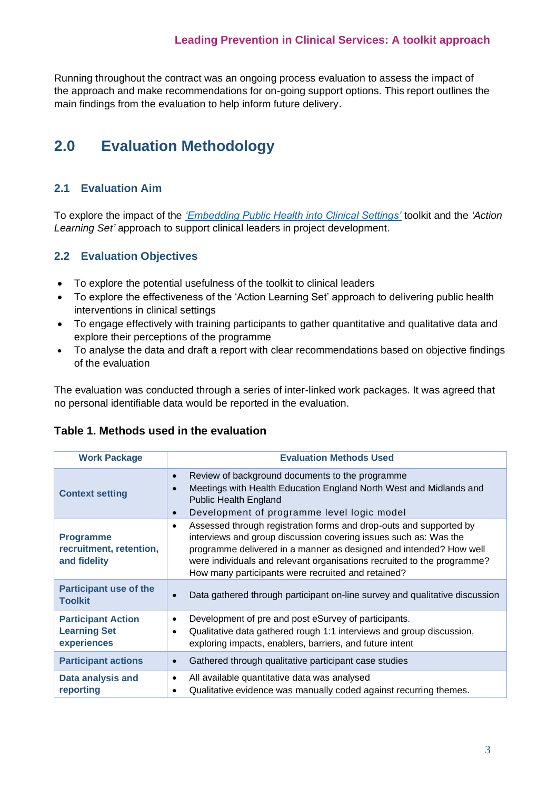Running throughout the contract was an ongoing process evaluation to assess the impact of the approach and make recommendations for on-going support options. This report outlines the main findings from the evaluation to help inform future delivery.

# <span id="page-3-0"></span>**2.0 Evaluation Methodology**

## <span id="page-3-1"></span>**2.1 Evaluation Aim**

To explore the impact of the *['Embedding Public Health into Clinical Settings'](https://portal.e-lfh.org.uk/Catalogue/Index?HierarchyId=0_44698&programmeId=44698)* toolkit and the *'Action Learning Set'* approach to support clinical leaders in project development.

## <span id="page-3-2"></span>**2.2 Evaluation Objectives**

- To explore the potential usefulness of the toolkit to clinical leaders
- To explore the effectiveness of the 'Action Learning Set' approach to delivering public health interventions in clinical settings
- To engage effectively with training participants to gather quantitative and qualitative data and explore their perceptions of the programme
- To analyse the data and draft a report with clear recommendations based on objective findings of the evaluation

The evaluation was conducted through a series of inter-linked work packages. It was agreed that no personal identifiable data would be reported in the evaluation.

## **Table 1. Methods used in the evaluation**

| <b>Work Package</b>                                             | <b>Evaluation Methods Used</b>                                                                                                                                                                                                                                                                                                                             |
|-----------------------------------------------------------------|------------------------------------------------------------------------------------------------------------------------------------------------------------------------------------------------------------------------------------------------------------------------------------------------------------------------------------------------------------|
| <b>Context setting</b>                                          | Review of background documents to the programme<br>$\bullet$<br>Meetings with Health Education England North West and Midlands and<br>$\bullet$<br><b>Public Health England</b><br>Development of programme level logic model<br>$\bullet$                                                                                                                 |
| <b>Programme</b><br>recruitment, retention,<br>and fidelity     | Assessed through registration forms and drop-outs and supported by<br>$\bullet$<br>interviews and group discussion covering issues such as: Was the<br>programme delivered in a manner as designed and intended? How well<br>were individuals and relevant organisations recruited to the programme?<br>How many participants were recruited and retained? |
| <b>Participant use of the</b><br><b>Toolkit</b>                 | Data gathered through participant on-line survey and qualitative discussion<br>$\bullet$                                                                                                                                                                                                                                                                   |
| <b>Participant Action</b><br><b>Learning Set</b><br>experiences | Development of pre and post eSurvey of participants.<br>$\bullet$<br>Qualitative data gathered rough 1:1 interviews and group discussion,<br>$\bullet$<br>exploring impacts, enablers, barriers, and future intent                                                                                                                                         |
| <b>Participant actions</b>                                      | Gathered through qualitative participant case studies<br>$\bullet$                                                                                                                                                                                                                                                                                         |
| Data analysis and<br>reporting                                  | All available quantitative data was analysed<br>$\bullet$<br>Qualitative evidence was manually coded against recurring themes.<br>٠                                                                                                                                                                                                                        |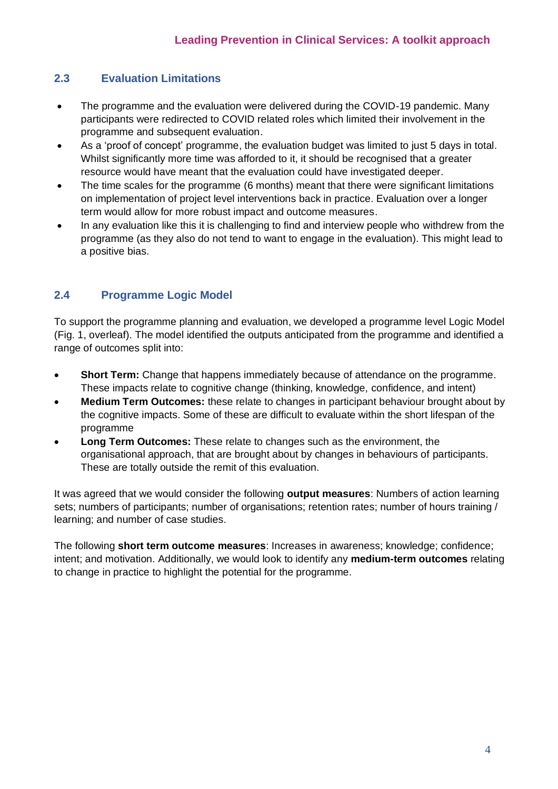## <span id="page-4-0"></span>**2.3 Evaluation Limitations**

- The programme and the evaluation were delivered during the COVID-19 pandemic. Many participants were redirected to COVID related roles which limited their involvement in the programme and subsequent evaluation.
- As a 'proof of concept' programme, the evaluation budget was limited to just 5 days in total. Whilst significantly more time was afforded to it, it should be recognised that a greater resource would have meant that the evaluation could have investigated deeper.
- The time scales for the programme (6 months) meant that there were significant limitations on implementation of project level interventions back in practice. Evaluation over a longer term would allow for more robust impact and outcome measures.
- In any evaluation like this it is challenging to find and interview people who withdrew from the programme (as they also do not tend to want to engage in the evaluation). This might lead to a positive bias.

## <span id="page-4-1"></span>**2.4 Programme Logic Model**

To support the programme planning and evaluation, we developed a programme level Logic Model (Fig. 1, overleaf). The model identified the outputs anticipated from the programme and identified a range of outcomes split into:

- **Short Term:** Change that happens immediately because of attendance on the programme. These impacts relate to cognitive change (thinking, knowledge, confidence, and intent)
- **Medium Term Outcomes:** these relate to changes in participant behaviour brought about by the cognitive impacts. Some of these are difficult to evaluate within the short lifespan of the programme
- **Long Term Outcomes:** These relate to changes such as the environment, the organisational approach, that are brought about by changes in behaviours of participants. These are totally outside the remit of this evaluation.

It was agreed that we would consider the following **output measures**: Numbers of action learning sets; numbers of participants; number of organisations; retention rates; number of hours training / learning; and number of case studies.

The following **short term outcome measures**: Increases in awareness; knowledge; confidence; intent; and motivation. Additionally, we would look to identify any **medium-term outcomes** relating to change in practice to highlight the potential for the programme.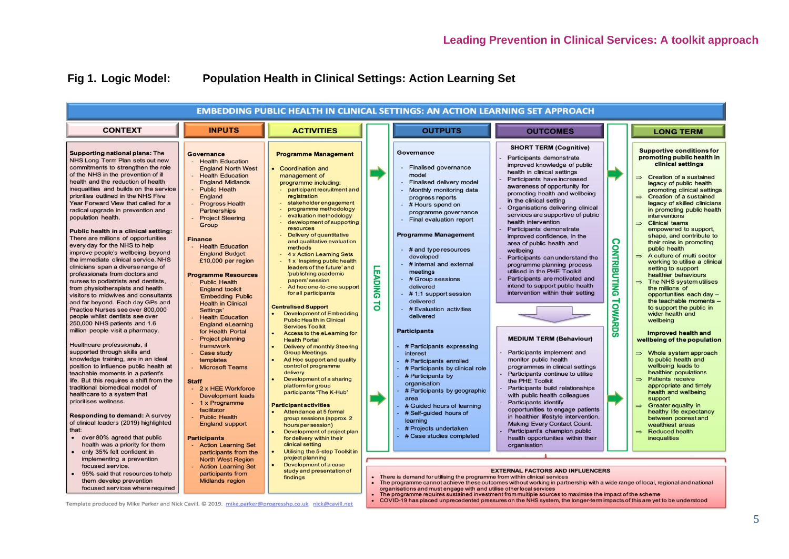## **Fig 1. Logic Model: Population Health in Clinical Settings: Action Learning Set**

|                                                                                                                                                                                                                                                                                                                                                                                                                                                                                                                                                                                                                                                                                                                                                                                                                                                                                                                                                                                                                                                                                                                                                                                                                                                                                                                                                                                                                                                 |                                                                                                                                                                                                                                                                                                                                                                                                                                                                                                                                                                                                                                                                                                                                                                                                                                                                 |                                                                                                                                                                                                                                                                                                                                                                                                                                                                                                                                                                                                                                                                                                                                                                                                                                                                                                                                                                                                                                                                                                                                          |                     |                                                                                                                                                                                                                                                                                                                                                                                                                                                                                                                                                                                                                                                                                                                                                                                            | <b>EMBEDDING PUBLIC HEALTH IN CLINICAL SETTINGS: AN ACTION LEARNING SET APPROACH</b>                                                                                                                                                                                                                                                                                                                                                                                                                                                                                                                                                                                                                                                                                                                                                                                                                                                                                                                                                                                                                                                                                 |                                       |                                                                                                                                                                                                                                                                                                                                                                                                                                                                                                                                                                                                                                                                                                                                                                                                                                                                                                                                                                                                                                                                                                                                                                                                                                                          |
|-------------------------------------------------------------------------------------------------------------------------------------------------------------------------------------------------------------------------------------------------------------------------------------------------------------------------------------------------------------------------------------------------------------------------------------------------------------------------------------------------------------------------------------------------------------------------------------------------------------------------------------------------------------------------------------------------------------------------------------------------------------------------------------------------------------------------------------------------------------------------------------------------------------------------------------------------------------------------------------------------------------------------------------------------------------------------------------------------------------------------------------------------------------------------------------------------------------------------------------------------------------------------------------------------------------------------------------------------------------------------------------------------------------------------------------------------|-----------------------------------------------------------------------------------------------------------------------------------------------------------------------------------------------------------------------------------------------------------------------------------------------------------------------------------------------------------------------------------------------------------------------------------------------------------------------------------------------------------------------------------------------------------------------------------------------------------------------------------------------------------------------------------------------------------------------------------------------------------------------------------------------------------------------------------------------------------------|------------------------------------------------------------------------------------------------------------------------------------------------------------------------------------------------------------------------------------------------------------------------------------------------------------------------------------------------------------------------------------------------------------------------------------------------------------------------------------------------------------------------------------------------------------------------------------------------------------------------------------------------------------------------------------------------------------------------------------------------------------------------------------------------------------------------------------------------------------------------------------------------------------------------------------------------------------------------------------------------------------------------------------------------------------------------------------------------------------------------------------------|---------------------|--------------------------------------------------------------------------------------------------------------------------------------------------------------------------------------------------------------------------------------------------------------------------------------------------------------------------------------------------------------------------------------------------------------------------------------------------------------------------------------------------------------------------------------------------------------------------------------------------------------------------------------------------------------------------------------------------------------------------------------------------------------------------------------------|----------------------------------------------------------------------------------------------------------------------------------------------------------------------------------------------------------------------------------------------------------------------------------------------------------------------------------------------------------------------------------------------------------------------------------------------------------------------------------------------------------------------------------------------------------------------------------------------------------------------------------------------------------------------------------------------------------------------------------------------------------------------------------------------------------------------------------------------------------------------------------------------------------------------------------------------------------------------------------------------------------------------------------------------------------------------------------------------------------------------------------------------------------------------|---------------------------------------|----------------------------------------------------------------------------------------------------------------------------------------------------------------------------------------------------------------------------------------------------------------------------------------------------------------------------------------------------------------------------------------------------------------------------------------------------------------------------------------------------------------------------------------------------------------------------------------------------------------------------------------------------------------------------------------------------------------------------------------------------------------------------------------------------------------------------------------------------------------------------------------------------------------------------------------------------------------------------------------------------------------------------------------------------------------------------------------------------------------------------------------------------------------------------------------------------------------------------------------------------------|
| <b>CONTEXT</b>                                                                                                                                                                                                                                                                                                                                                                                                                                                                                                                                                                                                                                                                                                                                                                                                                                                                                                                                                                                                                                                                                                                                                                                                                                                                                                                                                                                                                                  | <b>INPUTS</b>                                                                                                                                                                                                                                                                                                                                                                                                                                                                                                                                                                                                                                                                                                                                                                                                                                                   | <b>ACTIVITIES</b>                                                                                                                                                                                                                                                                                                                                                                                                                                                                                                                                                                                                                                                                                                                                                                                                                                                                                                                                                                                                                                                                                                                        |                     | <b>OUTPUTS</b>                                                                                                                                                                                                                                                                                                                                                                                                                                                                                                                                                                                                                                                                                                                                                                             | <b>OUTCOMES</b>                                                                                                                                                                                                                                                                                                                                                                                                                                                                                                                                                                                                                                                                                                                                                                                                                                                                                                                                                                                                                                                                                                                                                      |                                       | <b>LONG TERM</b>                                                                                                                                                                                                                                                                                                                                                                                                                                                                                                                                                                                                                                                                                                                                                                                                                                                                                                                                                                                                                                                                                                                                                                                                                                         |
| <b>Supporting national plans: The</b><br>NHS Long Term Plan sets out new<br>commitments to strengthen the role<br>of the NHS in the prevention of ill<br>health and the reduction of health<br>inequalities and builds on the service<br>priorities outlined in the NHS Five<br>Year Forward View that called for a<br>radical upgrade in prevention and<br>population health.<br>Public health in a clinical setting:<br>There are millions of opportunities<br>every day for the NHS to help<br>improve people's wellbeing beyond<br>the immediate clinical service. NHS<br>clinicians span a diverse range of<br>professionals from doctors and<br>nurses to podiatrists and dentists.<br>from physiotherapists and health<br>visitors to midwives and consultants<br>and far beyond. Each day GPs and<br>Practice Nurses see over 800,000<br>people whilst dentists see over<br>250,000 NHS patients and 1.6<br>million people visit a pharmacy.<br>Healthcare professionals, if<br>supported through skills and<br>knowledge training, are in an ideal<br>position to influence public health at<br>teachable moments in a patient's<br>life. But this requires a shift from the<br>traditional biomedical model of<br>healthcare to a system that<br>prioritises wellness.<br><b>Responding to demand: A survey</b><br>of clinical leaders (2019) highlighted<br>that:<br>• over 80% agreed that public<br>health was a priority for them | Governance<br>- Health Education<br><b>England North West</b><br><b>Health Education</b><br><b>England Midlands</b><br><b>Public Heath</b><br>England<br><b>Progress Health</b><br>Partnerships<br><b>Project Steering</b><br>Group<br><b>Finance</b><br>- Health Education<br><b>England Budget:</b><br>£10,000 per region<br><b>Programme Resources</b><br><b>Public Health</b><br><b>England toolkit</b><br>'Embedding Public<br><b>Health in Clinical</b><br>Settings'<br><b>Health Education</b><br><b>England eLearning</b><br>for Health Portal<br><b>Project planning</b><br>framework<br>Case study<br>templates<br><b>Microsoft Teams</b><br><b>Staff</b><br>- 2 x HEE Workforce<br><b>Development leads</b><br>- 1 x Programme<br>facilitator<br><b>Public Health</b><br><b>England support</b><br><b>Participants</b><br><b>Action Learning Set</b> | <b>Programme Management</b><br>• Coordination and<br>management of<br>programme including:<br>- participant recruitment and<br>registration<br>stakeholder engagement<br>programme methodology<br>evaluation methodology<br>development of supporting<br>resources<br>Delivery of quantitative<br>and qualitative evaluation<br>methods<br>4 x Action Learning Sets<br>- 1 x 'Inspiring public health<br>leaders of the future' and<br>'publishing academic<br>papers' session<br>Ad hoc one-to-one support<br>for all participants<br><b>Centralised Support</b><br><b>Development of Embedding</b><br><b>Public Health in Clinical</b><br><b>Services Toolkit</b><br>Access to the eLearning for<br><b>Health Portal</b><br><b>Delivery of monthly Steering</b><br><b>Group Meetings</b><br>Ad Hoc support and quality<br>control of programme<br>delivery<br>Development of a sharing<br>platform for group<br>participants "The K-Hub"<br><b>Participant activities</b><br>Attendance at 5 formal<br>group sessions (approx. 2<br>hours per session)<br>Development of project plan<br>for delivery within their<br>clinical setting | <b>LEADING</b><br>ಕ | Governance<br><b>Finalised governance</b><br>model<br><b>Finalised delivery model</b><br>Monthly monitoring data<br>progress reports<br>- # Hours spend on<br>programme governance<br>Final evaluation report<br><b>Programme Management</b><br>- # and type resources<br>developed<br>- # internal and external<br>meetings<br>- # Group sessions<br>delivered<br>- #1:1 support session<br>delivered<br>- # Evaluation activities<br>delivered<br><b>Participants</b><br>- # Participants expressing<br>interest<br>- # Participants enrolled<br>- # Participants by clinical role<br># Participants by<br>organisation<br># Participants by geographic<br>area<br># Guided hours of learning<br># Self-guided hours of<br>learning<br># Projects undertaken<br># Case studies completed | <b>SHORT TERM (Cognitive)</b><br>Participants demonstrate<br>improved knowledge of public<br>health in clinical settings<br>Participants have increased<br>awareness of opportunity for<br>promoting health and wellbeing<br>in the clinical setting<br>Organisations delivering clinical<br>services are supportive of public<br>health intervention<br>Participants demonstrate<br>improved confidence, in the<br>area of public health and<br>wellbeing<br>Participants can understand the<br>programme planning process<br>utilised in the PHE Toolkit<br>Participants are motivated and<br>intend to support public health<br>intervention within their setting<br><b>MEDIUM TERM (Behaviour)</b><br>Participants implement and<br>monitor public health<br>programmes in clinical settings<br>Participants continue to utilise<br>the PHE Toolkit<br>Participants build relationships<br>with public health colleagues<br><b>Participants identify</b><br>opportunities to engage patients<br>in healthier lifestyle intervention.<br><b>Making Every Contact Count.</b><br>Participant's champion public<br>health opportunities within their<br>organisation | <b>CONTRIBUTING</b><br><b>TOWARDS</b> | <b>Supportive conditions for</b><br>promoting public health in<br>clinical settings<br><b>Creation of a sustained</b><br>$\Rightarrow$<br>legacy of public health<br>promoting clinical settings<br><b>Creation of a sustained</b><br>$\Rightarrow$<br>legacy of skilled clinicians<br>in promoting public health<br><b>interventions</b><br>$\Rightarrow$ Clinical teams<br>empowered to support,<br>shape, and contribute to<br>their roles in promoting<br>public health<br>$\Rightarrow$ A culture of multi sector<br>working to utilise a clinical<br>setting to support<br>healthier behaviours<br>$\Rightarrow$ The NHS system utilises<br>the millions of<br>opportunities each day -<br>the teachable moments -<br>to support the public in<br>wider health and<br>wellbeing<br><b>Improved health and</b><br>wellbeing of the population<br>$\Rightarrow$ Whole system approach<br>to public health and<br>wellbeing leads to<br>healthier populations<br><b>Patients receive</b><br>$\Rightarrow$<br>appropriate and timely<br>health and wellbeing<br>support<br><b>Greater equality in</b><br>$\Rightarrow$<br>healthy life expectancy<br>between poorest and<br>wealthiest areas<br><b>Reduced health</b><br>$\Rightarrow$<br>inequalities |
| only 35% felt confident in<br>implementing a prevention                                                                                                                                                                                                                                                                                                                                                                                                                                                                                                                                                                                                                                                                                                                                                                                                                                                                                                                                                                                                                                                                                                                                                                                                                                                                                                                                                                                         | participants from the<br><b>North West Region</b>                                                                                                                                                                                                                                                                                                                                                                                                                                                                                                                                                                                                                                                                                                                                                                                                               | Utilising the 5-step Toolkit in<br>project planning                                                                                                                                                                                                                                                                                                                                                                                                                                                                                                                                                                                                                                                                                                                                                                                                                                                                                                                                                                                                                                                                                      |                     |                                                                                                                                                                                                                                                                                                                                                                                                                                                                                                                                                                                                                                                                                                                                                                                            |                                                                                                                                                                                                                                                                                                                                                                                                                                                                                                                                                                                                                                                                                                                                                                                                                                                                                                                                                                                                                                                                                                                                                                      |                                       |                                                                                                                                                                                                                                                                                                                                                                                                                                                                                                                                                                                                                                                                                                                                                                                                                                                                                                                                                                                                                                                                                                                                                                                                                                                          |
| focused service.<br>95% said that resources to help<br>them develop prevention<br>focused services where required                                                                                                                                                                                                                                                                                                                                                                                                                                                                                                                                                                                                                                                                                                                                                                                                                                                                                                                                                                                                                                                                                                                                                                                                                                                                                                                               | <b>Action Learning Set</b><br>participants from<br><b>Midlands region</b>                                                                                                                                                                                                                                                                                                                                                                                                                                                                                                                                                                                                                                                                                                                                                                                       | Development of a case<br>study and presentation of<br>findings                                                                                                                                                                                                                                                                                                                                                                                                                                                                                                                                                                                                                                                                                                                                                                                                                                                                                                                                                                                                                                                                           |                     | There is demand for utilising the programme from within clinical services<br>organisations and must engage with and utilise other local services                                                                                                                                                                                                                                                                                                                                                                                                                                                                                                                                                                                                                                           | <b>EXTERNAL FACTORS AND INFLUENCERS</b><br>The programme cannot achieve these outcomes without working in partnership with a wide range of local, regional and national<br>The programme requires sustained investment from multiple sources to maximise the impact of the scheme<br>COVID-19 has placed unprecedented pressures on the NHS system, the longer-term impacts of this are yet to be understood                                                                                                                                                                                                                                                                                                                                                                                                                                                                                                                                                                                                                                                                                                                                                         |                                       |                                                                                                                                                                                                                                                                                                                                                                                                                                                                                                                                                                                                                                                                                                                                                                                                                                                                                                                                                                                                                                                                                                                                                                                                                                                          |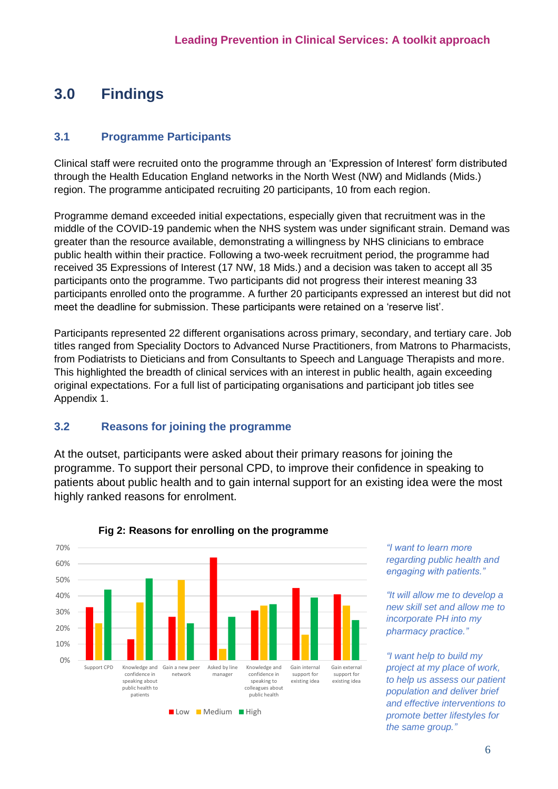# <span id="page-6-0"></span>**3.0 Findings**

## <span id="page-6-1"></span>**3.1 Programme Participants**

Clinical staff were recruited onto the programme through an 'Expression of Interest' form distributed through the Health Education England networks in the North West (NW) and Midlands (Mids.) region. The programme anticipated recruiting 20 participants, 10 from each region.

Programme demand exceeded initial expectations, especially given that recruitment was in the middle of the COVID-19 pandemic when the NHS system was under significant strain. Demand was greater than the resource available, demonstrating a willingness by NHS clinicians to embrace public health within their practice. Following a two-week recruitment period, the programme had received 35 Expressions of Interest (17 NW, 18 Mids.) and a decision was taken to accept all 35 participants onto the programme. Two participants did not progress their interest meaning 33 participants enrolled onto the programme. A further 20 participants expressed an interest but did not meet the deadline for submission. These participants were retained on a 'reserve list'.

Participants represented 22 different organisations across primary, secondary, and tertiary care. Job titles ranged from Speciality Doctors to Advanced Nurse Practitioners, from Matrons to Pharmacists, from Podiatrists to Dieticians and from Consultants to Speech and Language Therapists and more. This highlighted the breadth of clinical services with an interest in public health, again exceeding original expectations. For a full list of participating organisations and participant job titles see Appendix 1.

## <span id="page-6-2"></span>**3.2 Reasons for joining the programme**

At the outset, participants were asked about their primary reasons for joining the programme. To support their personal CPD, to improve their confidence in speaking to patients about public health and to gain internal support for an existing idea were the most highly ranked reasons for enrolment.



## **Fig 2: Reasons for enrolling on the programme**

*"I want to learn more regarding public health and engaging with patients."*

*"It will allow me to develop a new skill set and allow me to incorporate PH into my pharmacy practice."*

*"I want help to build my project at my place of work, to help us assess our patient population and deliver brief and effective interventions to promote better lifestyles for the same group."*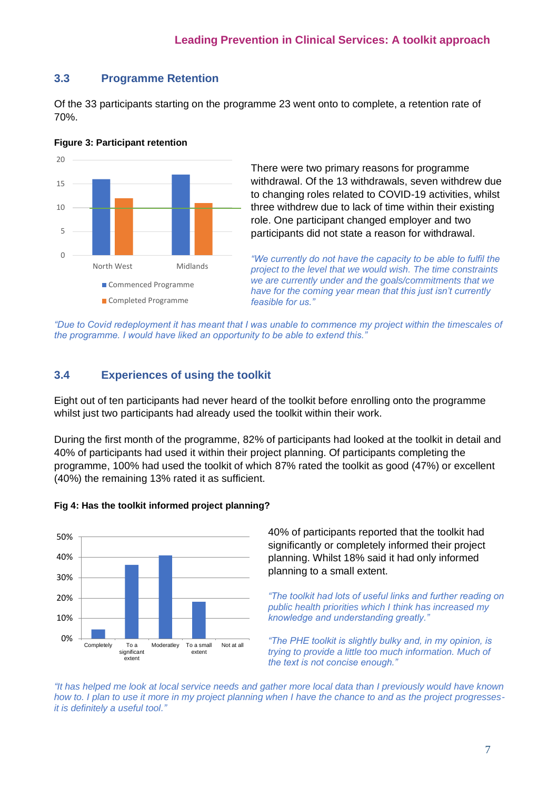## <span id="page-7-0"></span>**3.3 Programme Retention**

Of the 33 participants starting on the programme 23 went onto to complete, a retention rate of 70%.



#### **Figure 3: Participant retention**

There were two primary reasons for programme withdrawal. Of the 13 withdrawals, seven withdrew due to changing roles related to COVID-19 activities, whilst three withdrew due to lack of time within their existing role. One participant changed employer and two participants did not state a reason for withdrawal.

*"We currently do not have the capacity to be able to fulfil the project to the level that we would wish. The time constraints we are currently under and the goals/commitments that we have for the coming year mean that this just isn't currently feasible for us."*

*"Due to Covid redeployment it has meant that I was unable to commence my project within the timescales of the programme. I would have liked an opportunity to be able to extend this."*

## <span id="page-7-1"></span>**3.4 Experiences of using the toolkit**

Eight out of ten participants had never heard of the toolkit before enrolling onto the programme whilst just two participants had already used the toolkit within their work.

During the first month of the programme, 82% of participants had looked at the toolkit in detail and 40% of participants had used it within their project planning. Of participants completing the programme, 100% had used the toolkit of which 87% rated the toolkit as good (47%) or excellent (40%) the remaining 13% rated it as sufficient.



#### **Fig 4: Has the toolkit informed project planning?**

40% of participants reported that the toolkit had significantly or completely informed their project planning. Whilst 18% said it had only informed planning to a small extent.

*"The toolkit had lots of useful links and further reading on public health priorities which I think has increased my knowledge and understanding greatly."*

*"The PHE toolkit is slightly bulky and, in my opinion, is trying to provide a little too much information. Much of the text is not concise enough."*

*"It has helped me look at local service needs and gather more local data than I previously would have known how to. I plan to use it more in my project planning when I have the chance to and as the project progressesit is definitely a useful tool."*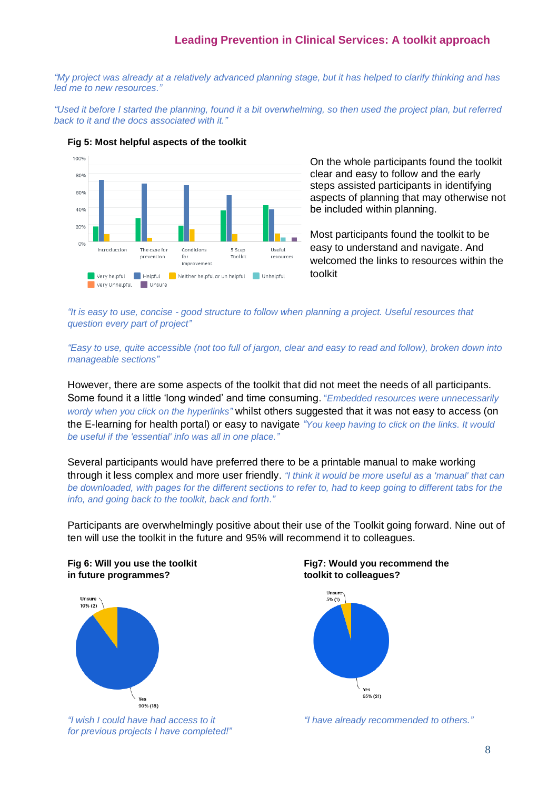*"My project was already at a relatively advanced planning stage, but it has helped to clarify thinking and has led me to new resources."*

*"Used it before I started the planning, found it a bit overwhelming, so then used the project plan, but referred back to it and the docs associated with it."*



#### **Fig 5: Most helpful aspects of the toolkit**

On the whole participants found the toolkit clear and easy to follow and the early steps assisted participants in identifying aspects of planning that may otherwise not be included within planning.

Most participants found the toolkit to be easy to understand and navigate. And welcomed the links to resources within the toolkit

*"It is easy to use, concise - good structure to follow when planning a project. Useful resources that question every part of project"*

*"Easy to use, quite accessible (not too full of jargon, clear and easy to read and follow), broken down into manageable sections"*

However, there are some aspects of the toolkit that did not meet the needs of all participants. Some found it a little 'long winded' and time consuming. "*Embedded resources were unnecessarily wordy when you click on the hyperlinks"* whilst others suggested that it was not easy to access (on the E-learning for health portal) or easy to navigate *"You keep having to click on the links. It would be useful if the 'essential' info was all in one place."*

Several participants would have preferred there to be a printable manual to make working through it less complex and more user friendly. *"I think it would be more useful as a 'manual' that can be downloaded, with pages for the different sections to refer to, had to keep going to different tabs for the info, and going back to the toolkit, back and forth."*

Participants are overwhelmingly positive about their use of the Toolkit going forward. Nine out of ten will use the toolkit in the future and 95% will recommend it to colleagues.

# **in future programmes? toolkit to colleagues?**



*for previous projects I have completed!"*

# **Fig 6: Will you use the toolkit Fig7: Would you recommend the**



*"I wish I could have had access to it "I have already recommended to others."*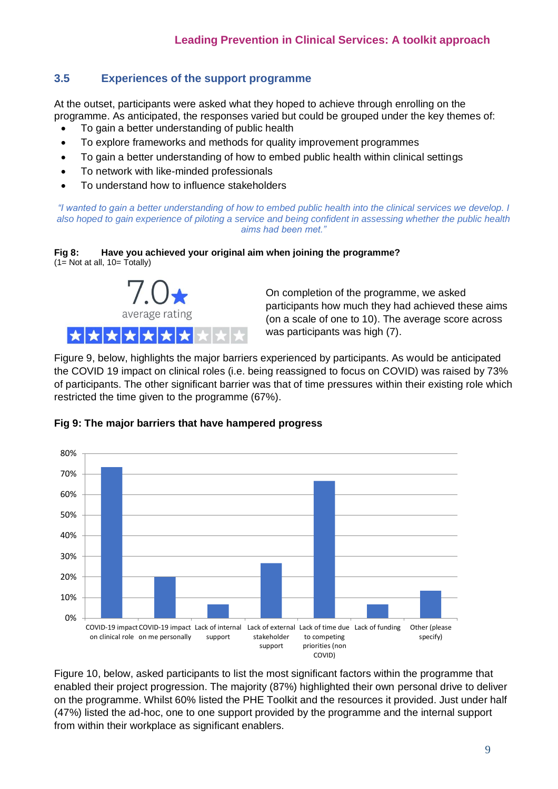## <span id="page-9-0"></span>**3.5 Experiences of the support programme**

At the outset, participants were asked what they hoped to achieve through enrolling on the programme. As anticipated, the responses varied but could be grouped under the key themes of:

- To gain a better understanding of public health
- To explore frameworks and methods for quality improvement programmes
- To gain a better understanding of how to embed public health within clinical settings
- To network with like-minded professionals
- To understand how to influence stakeholders

*"I wanted to gain a better understanding of how to embed public health into the clinical services we develop. I also hoped to gain experience of piloting a service and being confident in assessing whether the public health aims had been met."*





On completion of the programme, we asked participants how much they had achieved these aims (on a scale of one to 10). The average score across was participants was high (7).

Figure 9, below, highlights the major barriers experienced by participants. As would be anticipated the COVID 19 impact on clinical roles (i.e. being reassigned to focus on COVID) was raised by 73% of participants. The other significant barrier was that of time pressures within their existing role which restricted the time given to the programme (67%).



## **Fig 9: The major barriers that have hampered progress**

Figure 10, below, asked participants to list the most significant factors within the programme that enabled their project progression. The majority (87%) highlighted their own personal drive to deliver on the programme. Whilst 60% listed the PHE Toolkit and the resources it provided. Just under half (47%) listed the ad-hoc, one to one support provided by the programme and the internal support from within their workplace as significant enablers.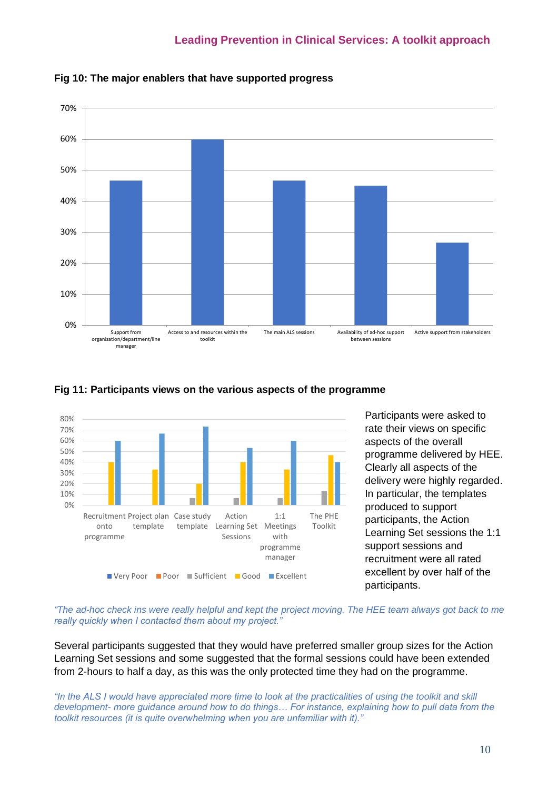





#### **Fig 11: Participants views on the various aspects of the programme**

Participants were asked to rate their views on specific aspects of the overall programme delivered by HEE. Clearly all aspects of the delivery were highly regarded. In particular, the templates produced to support participants, the Action Learning Set sessions the 1:1 support sessions and recruitment were all rated excellent by over half of the participants.

*"The ad-hoc check ins were really helpful and kept the project moving. The HEE team always got back to me really quickly when I contacted them about my project."*

Several participants suggested that they would have preferred smaller group sizes for the Action Learning Set sessions and some suggested that the formal sessions could have been extended from 2-hours to half a day, as this was the only protected time they had on the programme.

*"In the ALS I would have appreciated more time to look at the practicalities of using the toolkit and skill development- more guidance around how to do things… For instance, explaining how to pull data from the toolkit resources (it is quite overwhelming when you are unfamiliar with it)."*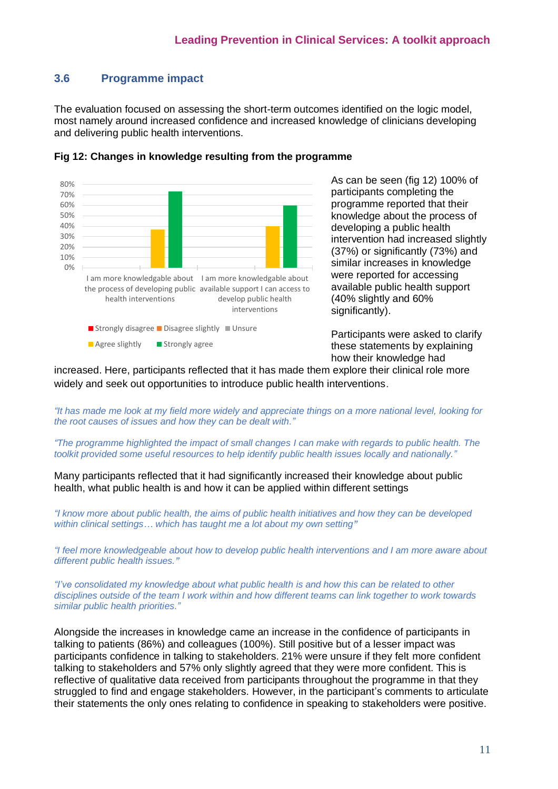## <span id="page-11-0"></span>**3.6 Programme impact**

The evaluation focused on assessing the short-term outcomes identified on the logic model, most namely around increased confidence and increased knowledge of clinicians developing and delivering public health interventions.



#### **Fig 12: Changes in knowledge resulting from the programme**

As can be seen (fig 12) 100% of participants completing the programme reported that their knowledge about the process of developing a public health intervention had increased slightly (37%) or significantly (73%) and similar increases in knowledge were reported for accessing available public health support (40% slightly and 60% significantly).

Participants were asked to clarify these statements by explaining how their knowledge had

increased. Here, participants reflected that it has made them explore their clinical role more widely and seek out opportunities to introduce public health interventions.

*"It has made me look at my field more widely and appreciate things on a more national level, looking for the root causes of issues and how they can be dealt with."* 

*"The programme highlighted the impact of small changes I can make with regards to public health. The toolkit provided some useful resources to help identify public health issues locally and nationally."*

Many participants reflected that it had significantly increased their knowledge about public health, what public health is and how it can be applied within different settings

*"I know more about public health, the aims of public health initiatives and how they can be developed within clinical settings… which has taught me a lot about my own setting"*

*"I feel more knowledgeable about how to develop public health interventions and I am more aware about different public health issues."*

*"I've consolidated my knowledge about what public health is and how this can be related to other disciplines outside of the team I work within and how different teams can link together to work towards similar public health priorities."*

Alongside the increases in knowledge came an increase in the confidence of participants in talking to patients (86%) and colleagues (100%). Still positive but of a lesser impact was participants confidence in talking to stakeholders. 21% were unsure if they felt more confident talking to stakeholders and 57% only slightly agreed that they were more confident. This is reflective of qualitative data received from participants throughout the programme in that they struggled to find and engage stakeholders. However, in the participant's comments to articulate their statements the only ones relating to confidence in speaking to stakeholders were positive.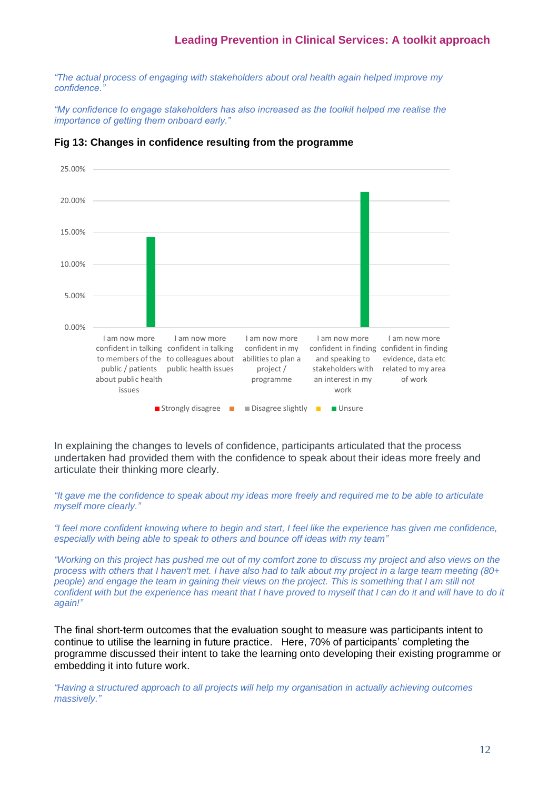*"The actual process of engaging with stakeholders about oral health again helped improve my confidence."*

*"My confidence to engage stakeholders has also increased as the toolkit helped me realise the importance of getting them onboard early."*

| 25.00% |                                                                                                                                                                                                    |                                                                                  |                                                                                                            |                                                                                              |
|--------|----------------------------------------------------------------------------------------------------------------------------------------------------------------------------------------------------|----------------------------------------------------------------------------------|------------------------------------------------------------------------------------------------------------|----------------------------------------------------------------------------------------------|
|        |                                                                                                                                                                                                    |                                                                                  |                                                                                                            |                                                                                              |
| 20.00% |                                                                                                                                                                                                    |                                                                                  |                                                                                                            |                                                                                              |
| 15.00% |                                                                                                                                                                                                    |                                                                                  |                                                                                                            |                                                                                              |
| 10.00% |                                                                                                                                                                                                    |                                                                                  |                                                                                                            |                                                                                              |
| 5.00%  |                                                                                                                                                                                                    |                                                                                  |                                                                                                            |                                                                                              |
| 0.00%  |                                                                                                                                                                                                    |                                                                                  |                                                                                                            |                                                                                              |
|        | I am now more<br>I am now more<br>confident in talking confident in talking<br>to members of the to colleagues about<br>public health issues<br>public / patients<br>about public health<br>issues | I am now more<br>confident in my<br>abilities to plan a<br>project/<br>programme | I am now more<br>confident in finding<br>and speaking to<br>stakeholders with<br>an interest in my<br>work | I am now more<br>confident in finding<br>evidence, data etc<br>related to my area<br>of work |
|        | ■ Strongly disagree                                                                                                                                                                                | Disagree slightly                                                                | <b>Unsure</b>                                                                                              |                                                                                              |

#### **Fig 13: Changes in confidence resulting from the programme**

In explaining the changes to levels of confidence, participants articulated that the process undertaken had provided them with the confidence to speak about their ideas more freely and articulate their thinking more clearly.

*"It gave me the confidence to speak about my ideas more freely and required me to be able to articulate myself more clearly."*

*"I feel more confident knowing where to begin and start, I feel like the experience has given me confidence, especially with being able to speak to others and bounce off ideas with my team"*

*"Working on this project has pushed me out of my comfort zone to discuss my project and also views on the process with others that I haven't met. I have also had to talk about my project in a large team meeting (80+ people) and engage the team in gaining their views on the project. This is something that I am still not* confident with but the experience has meant that I have proved to myself that I can do it and will have to do it *again!"*

The final short-term outcomes that the evaluation sought to measure was participants intent to continue to utilise the learning in future practice. Here, 70% of participants' completing the programme discussed their intent to take the learning onto developing their existing programme or embedding it into future work.

*"Having a structured approach to all projects will help my organisation in actually achieving outcomes massively."*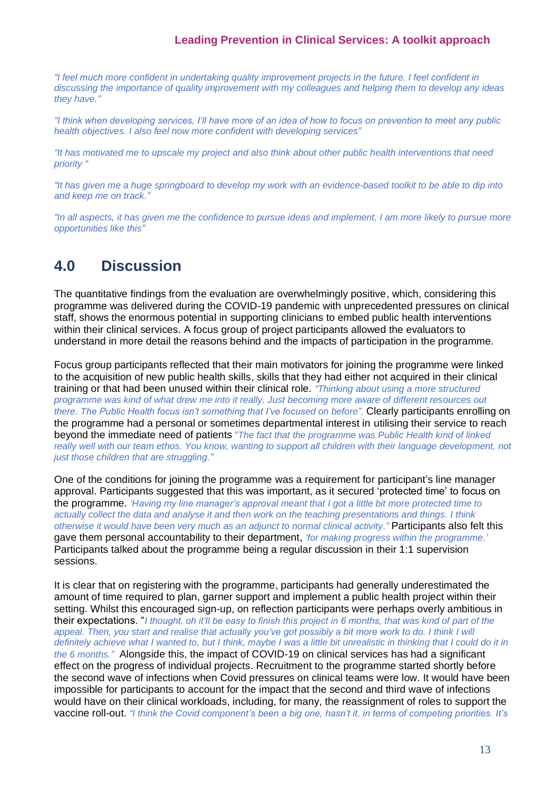*"I feel much more confident in undertaking quality improvement projects in the future. I feel confident in discussing the importance of quality improvement with my colleagues and helping them to develop any ideas they have."*

*"I think when developing services, I'll have more of an idea of how to focus on prevention to meet any public health objectives. I also feel now more confident with developing services"*

*"It has motivated me to upscale my project and also think about other public health interventions that need priority "*

*"It has given me a huge springboard to develop my work with an evidence-based toolkit to be able to dip into and keep me on track."*

*"In all aspects, it has given me the confidence to pursue ideas and implement, I am more likely to pursue more opportunities like this"*

## <span id="page-13-0"></span>**4.0 Discussion**

The quantitative findings from the evaluation are overwhelmingly positive, which, considering this programme was delivered during the COVID-19 pandemic with unprecedented pressures on clinical staff, shows the enormous potential in supporting clinicians to embed public health interventions within their clinical services. A focus group of project participants allowed the evaluators to understand in more detail the reasons behind and the impacts of participation in the programme.

Focus group participants reflected that their main motivators for joining the programme were linked to the acquisition of new public health skills, skills that they had either not acquired in their clinical training or that had been unused within their clinical role. *"Thinking about using a more structured programme was kind of what drew me into it really. Just becoming more aware of different resources out there. The Public Health focus isn't something that I've focused on before".* Clearly participants enrolling on the programme had a personal or sometimes departmental interest in utilising their service to reach beyond the immediate need of patients "*The fact that the programme was Public Health kind of linked*  really well with our team ethos. You know, wanting to support all children with their language development, not *just those children that are struggling."*

One of the conditions for joining the programme was a requirement for participant's line manager approval. Participants suggested that this was important, as it secured 'protected time' to focus on the programme. *'Having my line manager's approval meant that I got a little bit more protected time to actually collect the data and analyse it and then work on the teaching presentations and things. I think otherwise it would have been very much as an adjunct to normal clinical activity."* Participants also felt this gave them personal accountability to their department, *'for making progress within the programme.'* Participants talked about the programme being a regular discussion in their 1:1 supervision sessions.

It is clear that on registering with the programme, participants had generally underestimated the amount of time required to plan, garner support and implement a public health project within their setting. Whilst this encouraged sign-up, on reflection participants were perhaps overly ambitious in their expectations. "*I thought, oh it'll be easy to finish this project in 6 months, that was kind of part of the*  appeal. Then, you start and realise that actually you've got possibly a bit more work to do. I think I will *definitely achieve what I wanted to, but I think, maybe I was a little bit unrealistic in thinking that I could do it in the 6 months."* Alongside this, the impact of COVID-19 on clinical services has had a significant effect on the progress of individual projects. Recruitment to the programme started shortly before the second wave of infections when Covid pressures on clinical teams were low. It would have been impossible for participants to account for the impact that the second and third wave of infections would have on their clinical workloads, including, for many, the reassignment of roles to support the vaccine roll-out. *"I think the Covid component's been a big one, hasn't it, in terms of competing priorities. It's*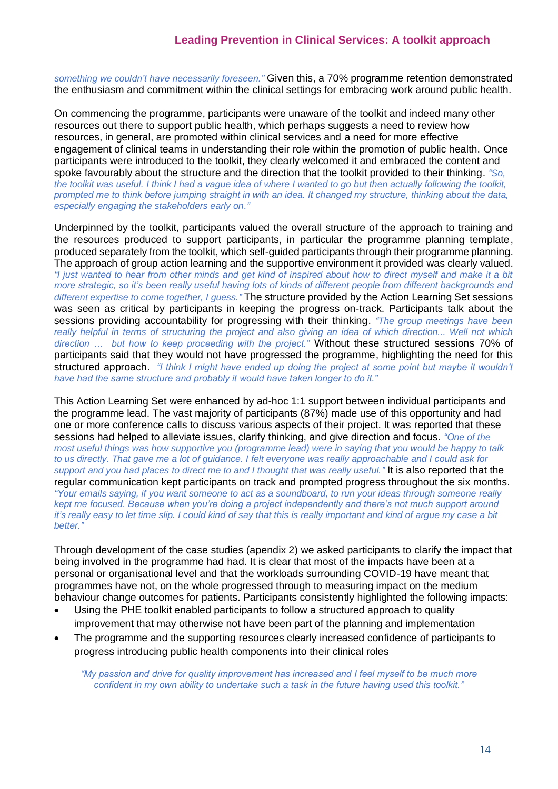*something we couldn't have necessarily foreseen."* Given this, a 70% programme retention demonstrated the enthusiasm and commitment within the clinical settings for embracing work around public health.

On commencing the programme, participants were unaware of the toolkit and indeed many other resources out there to support public health, which perhaps suggests a need to review how resources, in general, are promoted within clinical services and a need for more effective engagement of clinical teams in understanding their role within the promotion of public health. Once participants were introduced to the toolkit, they clearly welcomed it and embraced the content and spoke favourably about the structure and the direction that the toolkit provided to their thinking. *"So, the toolkit was useful. I think I had a vague idea of where I wanted to go but then actually following the toolkit, prompted me to think before jumping straight in with an idea. It changed my structure, thinking about the data, especially engaging the stakeholders early on."*

Underpinned by the toolkit, participants valued the overall structure of the approach to training and the resources produced to support participants, in particular the programme planning template, produced separately from the toolkit, which self-guided participants through their programme planning. The approach of group action learning and the supportive environment it provided was clearly valued. *"I just wanted to hear from other minds and get kind of inspired about how to direct myself and make it a bit more strategic, so it's been really useful having lots of kinds of different people from different backgrounds and different expertise to come together, I guess."* The structure provided by the Action Learning Set sessions was seen as critical by participants in keeping the progress on-track. Participants talk about the sessions providing accountability for progressing with their thinking. *"The group meetings have been*  really helpful in terms of structuring the project and also giving an idea of which direction... Well not which *direction … but how to keep proceeding with the project."* Without these structured sessions 70% of participants said that they would not have progressed the programme, highlighting the need for this structured approach. *"I think I might have ended up doing the project at some point but maybe it wouldn't have had the same structure and probably it would have taken longer to do it."*

This Action Learning Set were enhanced by ad-hoc 1:1 support between individual participants and the programme lead. The vast majority of participants (87%) made use of this opportunity and had one or more conference calls to discuss various aspects of their project. It was reported that these sessions had helped to alleviate issues, clarify thinking, and give direction and focus. *"One of the most useful things was how supportive you (programme lead) were in saying that you would be happy to talk to us directly. That gave me a lot of guidance. I felt everyone was really approachable and I could ask for support and you had places to direct me to and I thought that was really useful."* It is also reported that the regular communication kept participants on track and prompted progress throughout the six months. *"Your emails saying, if you want someone to act as a soundboard, to run your ideas through someone really kept me focused. Because when you're doing a project independently and there's not much support around it's really easy to let time slip. I could kind of say that this is really important and kind of argue my case a bit better."*

Through development of the case studies (apendix 2) we asked participants to clarify the impact that being involved in the programme had had. It is clear that most of the impacts have been at a personal or organisational level and that the workloads surrounding COVID-19 have meant that programmes have not, on the whole progressed through to measuring impact on the medium behaviour change outcomes for patients. Participants consistently highlighted the following impacts:

- Using the PHE toolkit enabled participants to follow a structured approach to quality improvement that may otherwise not have been part of the planning and implementation
- The programme and the supporting resources clearly increased confidence of participants to progress introducing public health components into their clinical roles

*"My passion and drive for quality improvement has increased and I feel myself to be much more confident in my own ability to undertake such a task in the future having used this toolkit."*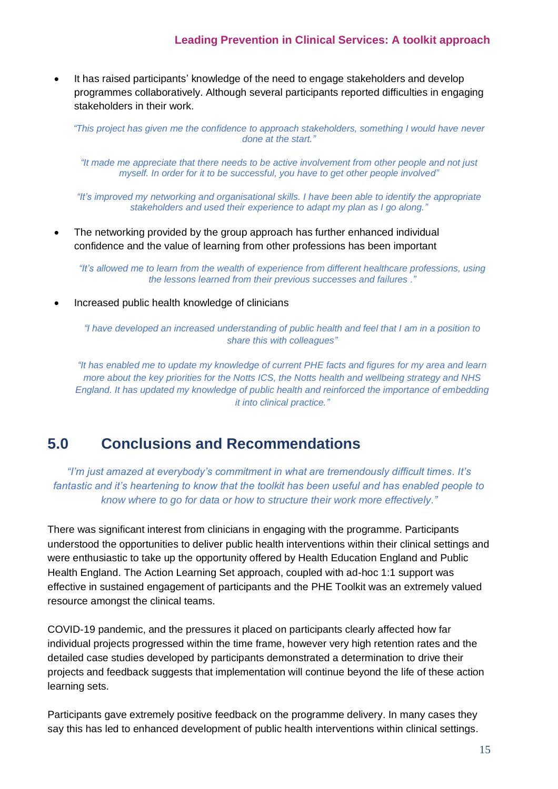• It has raised participants' knowledge of the need to engage stakeholders and develop programmes collaboratively. Although several participants reported difficulties in engaging stakeholders in their work.

*"This project has given me the confidence to approach stakeholders, something I would have never done at the start."*

*"It made me appreciate that there needs to be active involvement from other people and not just myself. In order for it to be successful, you have to get other people involved"*

*"It's improved my networking and organisational skills. I have been able to identify the appropriate stakeholders and used their experience to adapt my plan as I go along."*

• The networking provided by the group approach has further enhanced individual confidence and the value of learning from other professions has been important

*"It's allowed me to learn from the wealth of experience from different healthcare professions, using the lessons learned from their previous successes and failures ."*

• Increased public health knowledge of clinicians

*"I have developed an increased understanding of public health and feel that I am in a position to share this with colleagues"*

<span id="page-15-0"></span>*"It has enabled me to update my knowledge of current PHE facts and figures for my area and learn more about the key priorities for the Notts ICS, the Notts health and wellbeing strategy and NHS England. It has updated my knowledge of public health and reinforced the importance of embedding it into clinical practice."*

## **5.0 Conclusions and Recommendations**

*"I'm just amazed at everybody's commitment in what are tremendously difficult times. It's fantastic and it's heartening to know that the toolkit has been useful and has enabled people to know where to go for data or how to structure their work more effectively."*

There was significant interest from clinicians in engaging with the programme. Participants understood the opportunities to deliver public health interventions within their clinical settings and were enthusiastic to take up the opportunity offered by Health Education England and Public Health England. The Action Learning Set approach, coupled with ad-hoc 1:1 support was effective in sustained engagement of participants and the PHE Toolkit was an extremely valued resource amongst the clinical teams.

COVID-19 pandemic, and the pressures it placed on participants clearly affected how far individual projects progressed within the time frame, however very high retention rates and the detailed case studies developed by participants demonstrated a determination to drive their projects and feedback suggests that implementation will continue beyond the life of these action learning sets.

Participants gave extremely positive feedback on the programme delivery. In many cases they say this has led to enhanced development of public health interventions within clinical settings.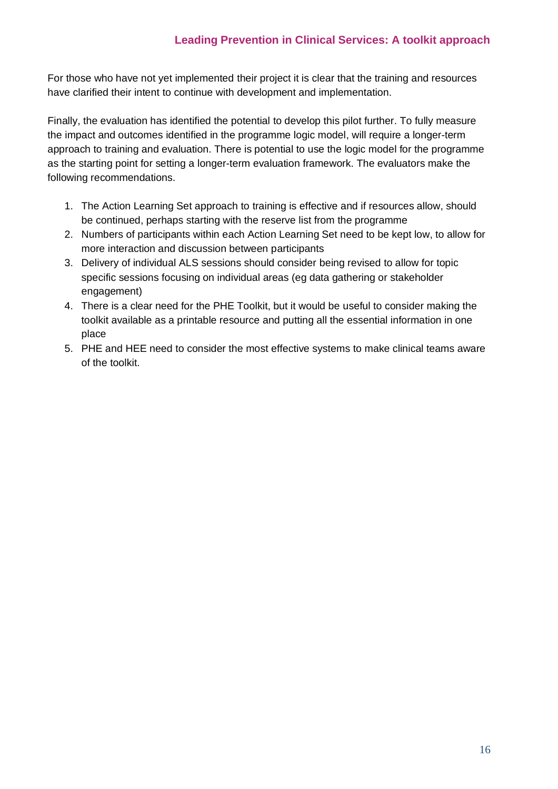For those who have not yet implemented their project it is clear that the training and resources have clarified their intent to continue with development and implementation.

Finally, the evaluation has identified the potential to develop this pilot further. To fully measure the impact and outcomes identified in the programme logic model, will require a longer-term approach to training and evaluation. There is potential to use the logic model for the programme as the starting point for setting a longer-term evaluation framework. The evaluators make the following recommendations.

- 1. The Action Learning Set approach to training is effective and if resources allow, should be continued, perhaps starting with the reserve list from the programme
- 2. Numbers of participants within each Action Learning Set need to be kept low, to allow for more interaction and discussion between participants
- 3. Delivery of individual ALS sessions should consider being revised to allow for topic specific sessions focusing on individual areas (eg data gathering or stakeholder engagement)
- 4. There is a clear need for the PHE Toolkit, but it would be useful to consider making the toolkit available as a printable resource and putting all the essential information in one place
- 5. PHE and HEE need to consider the most effective systems to make clinical teams aware of the toolkit.